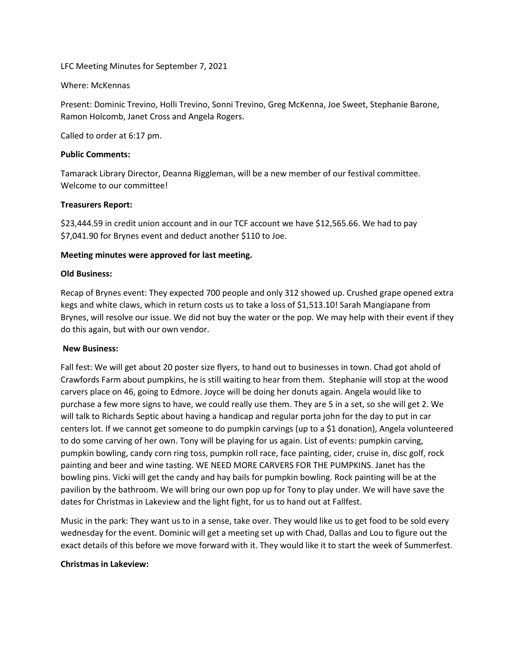LFC Meeting Minutes for September 7, 2021

### Where: McKennas

Present: Dominic Trevino, Holli Trevino, Sonni Trevino, Greg McKenna, Joe Sweet, Stephanie Barone, Ramon Holcomb, Janet Cross and Angela Rogers.

Called to order at 6:17 pm.

### **Public Comments:**

Tamarack Library Director, Deanna Riggleman, will be a new member of our festival committee. Welcome to our committee!

# **Treasurers Report:**

\$23,444.59 in credit union account and in our TCF account we have \$12,565.66. We had to pay \$7,041.90 for Brynes event and deduct another \$110 to Joe.

# **Meeting minutes were approved for last meeting.**

# **Old Business:**

Recap of Brynes event: They expected 700 people and only 312 showed up. Crushed grape opened extra kegs and white claws, which in return costs us to take a loss of \$1,513.10! Sarah Mangiapane from Brynes, will resolve our issue. We did not buy the water or the pop. We may help with their event if they do this again, but with our own vendor.

# **New Business:**

Fall fest: We will get about 20 poster size flyers, to hand out to businesses in town. Chad got ahold of Crawfords Farm about pumpkins, he is still waiting to hear from them. Stephanie will stop at the wood carvers place on 46, going to Edmore. Joyce will be doing her donuts again. Angela would like to purchase a few more signs to have, we could really use them. They are 5 in a set, so she will get 2. We will talk to Richards Septic about having a handicap and regular porta john for the day to put in car centers lot. If we cannot get someone to do pumpkin carvings (up to a \$1 donation), Angela volunteered to do some carving of her own. Tony will be playing for us again. List of events: pumpkin carving, pumpkin bowling, candy corn ring toss, pumpkin roll race, face painting, cider, cruise in, disc golf, rock painting and beer and wine tasting. WE NEED MORE CARVERS FOR THE PUMPKINS. Janet has the bowling pins. Vicki will get the candy and hay bails for pumpkin bowling. Rock painting will be at the pavilion by the bathroom. We will bring our own pop up for Tony to play under. We will have save the dates for Christmas in Lakeview and the light fight, for us to hand out at Fallfest.

Music in the park: They want us to in a sense, take over. They would like us to get food to be sold every wednesday for the event. Dominic will get a meeting set up with Chad, Dallas and Lou to figure out the exact details of this before we move forward with it. They would like it to start the week of Summerfest.

# **Christmas in Lakeview:**